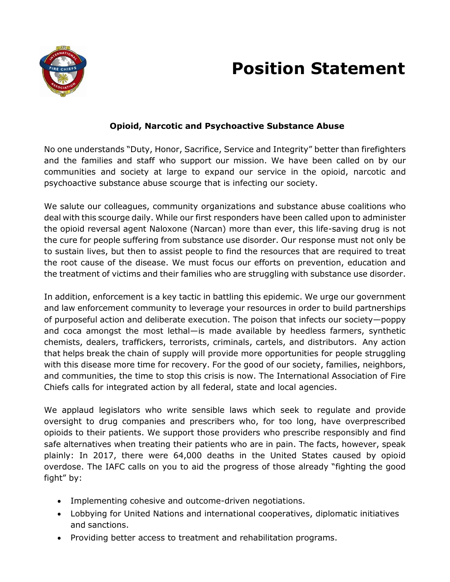

## **Position Statement**

## **Opioid, Narcotic and Psychoactive Substance Abuse**

No one understands "Duty, Honor, Sacrifice, Service and Integrity" better than firefighters and the families and staff who support our mission. We have been called on by our communities and society at large to expand our service in the opioid, narcotic and psychoactive substance abuse scourge that is infecting our society.

We salute our colleagues, community organizations and substance abuse coalitions who deal with this scourge daily. While our first responders have been called upon to administer the opioid reversal agent Naloxone (Narcan) more than ever, this life-saving drug is not the cure for people suffering from substance use disorder. Our response must not only be to sustain lives, but then to assist people to find the resources that are required to treat the root cause of the disease. We must focus our efforts on prevention, education and the treatment of victims and their families who are struggling with substance use disorder.

In addition, enforcement is a key tactic in battling this epidemic. We urge our government and law enforcement community to leverage your resources in order to build partnerships of purposeful action and deliberate execution. The poison that infects our society—poppy and coca amongst the most lethal—is made available by heedless farmers, synthetic chemists, dealers, traffickers, terrorists, criminals, cartels, and distributors. Any action that helps break the chain of supply will provide more opportunities for people struggling with this disease more time for recovery. For the good of our society, families, neighbors, and communities, the time to stop this crisis is now. The International Association of Fire Chiefs calls for integrated action by all federal, state and local agencies.

We applaud legislators who write sensible laws which seek to regulate and provide oversight to drug companies and prescribers who, for too long, have overprescribed opioids to their patients. We support those providers who prescribe responsibly and find safe alternatives when treating their patients who are in pain. The facts, however, speak plainly: In 2017, there were 64,000 deaths in the United States caused by opioid overdose. The IAFC calls on you to aid the progress of those already "fighting the good fight" by:

- Implementing cohesive and outcome-driven negotiations.
- Lobbying for United Nations and international cooperatives, diplomatic initiatives and sanctions.
- Providing better access to treatment and rehabilitation programs.